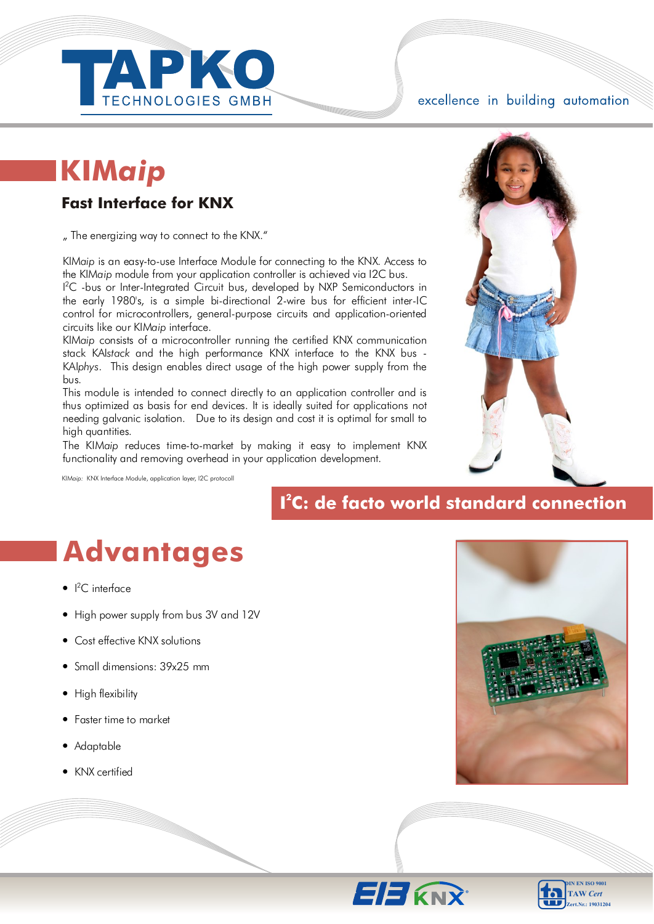

excellence in building automation

## **KIM***aip*

#### Fast Interface for KNX

" The energizing way to connect to the KNX."

KIM*aip* is an easy-to-use Interface Module for connecting to the KNX. Access to the KIM*aip* module from your application controller is achieved via I2C bus.

<sup>12</sup>C -bus or Inter-Integrated Circuit bus, developed by NXP Semiconductors in the early 1980's, is a simple bi-directional 2-wire bus for efficient inter-IC control for microcontrollers, general-purpose circuits and application-oriented circuits like our KIM*aip* interface.

KIM*aip* consists of a microcontroller running the certified KNX communication stack KAI*stack* and the high performance KNX interface to the KNX bus - KAI*phys*. This design enables direct usage of the high power supply from the bus.

This module is intended to connect directly to an application controller and is thus optimized as basis for end devices. It is ideally suited for applications not needing galvanic isolation. Due to its design and cost it is optimal for small to high quantities.

The KIM*aip* reduces time-to-market by making it easy to implement KNX functionality and removing overhead in your application development.

KIM*aip:* KNX Interface Module, application layer, I2C protocoll

### **2 I C: de facto world standard connection**

## **Advantages**

- $\bullet$  |<sup>2</sup>C interface
- High power supply from bus 3V and 12V
- Cost effective KNX solutions
- Small dimensions: 39x25 mm
- High flexibility
- Faster time to market
- Adaptable
- KNX certified